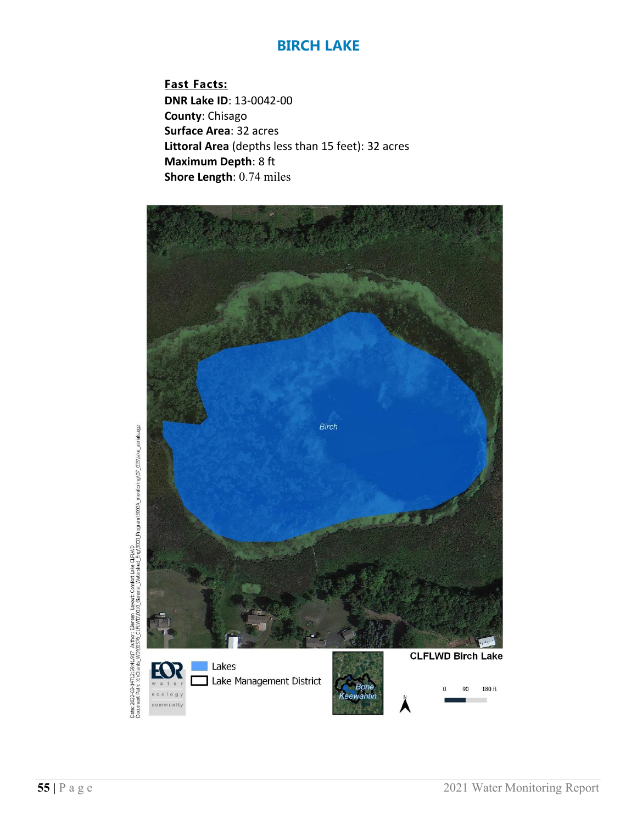**Fast Facts: DNR Lake ID**: 13-0042-00 **County**: Chisago **Surface Area**: 32 acres **Littoral Area** (depths less than 15 feet): 32 acres **Maximum Depth**: 8 ft **Shore Length**: 0.74 miles



Date: 2022-03-14T12:99:41.917. Author: Elensen. Layout: Comfort Lake CLEWD.<br>Document Patri X: (Clients\_WD)(0376\_CLEWD)(0310\_General\_Watershed\_Eng13000\_Program130334\_monitoring)(07\_GIS)ake\_aerials.qgz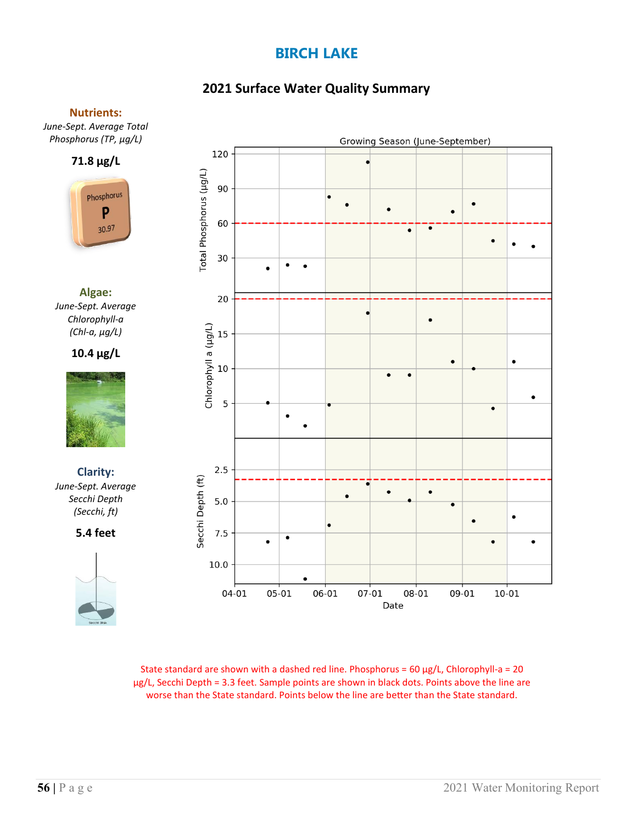# **2021 Surface Water Quality Summary**

### **Nutrients:**

*June-Sept. Average Total Phosphorus (TP, µg/L)*



**Algae:** *June-Sept. Average Chlorophyll-a (Chl-a, µg/L)*

**10.4 µg/L**



**Clarity:**  *June-Sept. Average Secchi Depth (Secchi, ft)*

**5.4 feet**





State standard are shown with a dashed red line. Phosphorus =  $60 \mu g/L$ , Chlorophyll-a =  $20$ µg/L, Secchi Depth = 3.3 feet. Sample points are shown in black dots. Points above the line are worse than the State standard. Points below the line are better than the State standard.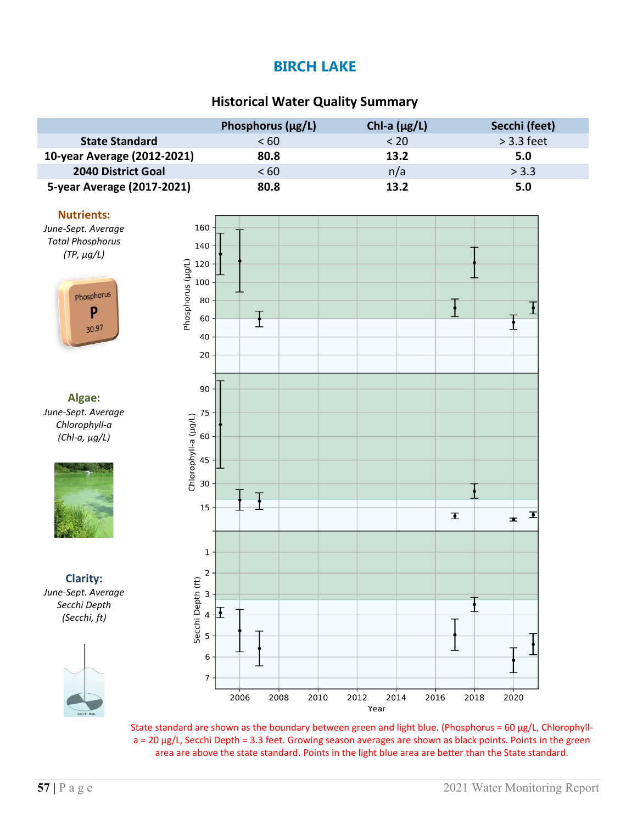### **Historical Water Quality Summary**

|                             | Phosphorus $(\mu g/L)$ | Chl-a $(\mu g/L)$ | Secchi (feet) |
|-----------------------------|------------------------|-------------------|---------------|
| <b>State Standard</b>       | < 60                   | < 20              | $>$ 3.3 feet  |
| 10-year Average (2012-2021) | 80.8                   | 13.2              | 5.0           |
| 2040 District Goal          | < 60                   | n/a               | > 3.3         |
| 5-year Average (2017-2021)  | 80.8                   | 13.2              | 5.0           |

#### **Nutrients:**

*June-Sept. Average Total Phosphorus (TP, µg/L)*



**Algae:** *June-Sept. Average Chlorophyll-a (Chl-a, µg/L)*



**Clarity:** *June-Sept. Average Secchi Depth (Secchi, ft)*





State standard are shown as the boundary between green and light blue. (Phosphorus =  $60 \mu g/L$ , Chlorophyll $a = 20$  µg/L, Secchi Depth = 3.3 feet. Growing season averages are shown as black points. Points in the green area are above the state standard. Points in the light blue area are better than the State standard.